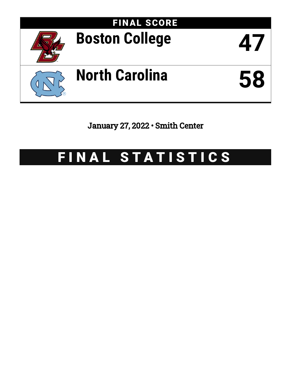

January 27, 2022 • Smith Center

# FINAL STATISTICS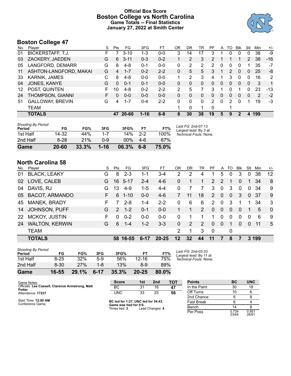# **Official Box Score Boston College vs North Carolina Game Totals -- Final Statistics January 27, 2022 at Smith Center**



# **Boston College 47**

| No. | Plaver                   | S  | <b>Pts</b> | FG        | 3FG      | FT      | 0R | DR | TR       | PF             | A        | TO | <b>B</b> lk    | Stl      | Min | $+/-$ |
|-----|--------------------------|----|------------|-----------|----------|---------|----|----|----------|----------------|----------|----|----------------|----------|-----|-------|
| 01  | <b>BICKERSTAFF, T.J.</b> | н. |            | $3 - 10$  | 1-3      | $0 - 0$ | 3  | 14 | 17       | 3              |          | 0  | 0              | 0        | 38  | -9    |
| 03  | ZACKERY, JAEDEN          | G  | 6          | $3 - 11$  | $0 - 3$  | $0 - 2$ |    | 2  | 3        | $\mathcal{P}$  |          |    |                | 2        | 38  | $-16$ |
| 05  | LANGFORD, DEMARR         | G  | 8          | $4 - 8$   | $0 - 1$  | $0 - 0$ | 0  | 2  | 2        | 2              | 0        | 0  | 0              |          | 35  | $-7$  |
| 11  | ASHTON-LANGFORD, MAKAI   | G  | 4          | $1 - 7$   | $0 - 2$  | $2 - 2$ | 0  | 5  | 5        | 3              | 1        | 2  | $\Omega$       | 0        | 25  | -8    |
| 33  | <b>KARNIK, JAMES</b>     | С  | 8          | $4-8$     | $0 - 0$  | $0 - 0$ | 1. | 2  | 3        | 4              | 1        | 3  | $\mathbf{0}$   | $\Omega$ | 16  | 2     |
| 04  | JONES, KANYE             | G  | 0          | $0 - 1$   | $0 - 1$  | $0 - 0$ | 0  | 0  | 0        | 0              | $\Omega$ | 0  | $\Omega$       | $\Omega$ | 3   | 1     |
| 12  | POST, QUINTEN            | F  | 10         | $4 - 8$   | $0 - 2$  | $2 - 2$ | 2  | 5  |          | 3              | 1        | o  |                | 0        | 23  | $-13$ |
| 24  | THOMPSON, GIANNI         | F. | 0          | $0 - 0$   | $0 - 0$  | $0 - 0$ | 0  | 0  | 0        | $\Omega$       | 0        | 0  | $\overline{0}$ | 0        | 2   | $-2$  |
| 51  | <b>GALLOWAY, BREVIN</b>  | G  | 4          | $1 - 7$   | $0 - 4$  | $2 - 2$ | 0  | 0  | $\Omega$ | $\overline{2}$ | 0        | 2  | 0              |          | 19  | $-3$  |
|     | TEAM                     |    |            |           |          |         |    | 0  |          | $\Omega$       |          |    |                |          |     |       |
|     | <b>TOTALS</b>            |    | 47         | $20 - 60$ | $1 - 16$ | $6 - 8$ | 8  | 30 | 38       | 19             | 5        | 9  | 2              | 4        | 199 |       |

| <b>Shooting By Period</b><br>Period | FG        | FG%   | 3FG      | 3FG%  | FТ      | FT%   | Last FG: 2nd-07:13<br>Largest lead: By 3 at |
|-------------------------------------|-----------|-------|----------|-------|---------|-------|---------------------------------------------|
| 1st Half                            | 14-32     | 44%   | $1 - 7$  | 14%   | $2 - 2$ | 100%  | Technical Fouls: None.                      |
| 2nd Half                            | $6 - 28$  | 21%   | 0-9      | 00%   | 4-6     | 67%   |                                             |
| Game                                | $20 - 60$ | 33.3% | $1 - 16$ | 06.3% | $6 - 8$ | 75.0% |                                             |

# **North Carolina 58**

| No.       | Player                | S  | Pts           | FG       | 3FG      | FT.       | OR             | DR. | TR | PF.            | A            | TO           | Blk      | Stl          | Min | $+/-$          |
|-----------|-----------------------|----|---------------|----------|----------|-----------|----------------|-----|----|----------------|--------------|--------------|----------|--------------|-----|----------------|
| 01        | <b>BLACK, LEAKY</b>   | G  | 8             | $2 - 3$  | 1-1      | $3 - 4$   | $\overline{2}$ | 2   | 4  |                | 5            | 0            | 3        | 0            | 38  | 12             |
| 02        | LOVE, CALEB           | G. |               | 16 5-17  | $2 - 4$  | $4-6$     | $\Omega$       |     |    | 2              | 2            |              | $\Omega$ | 1.           | 34  | 8              |
| 04        | DAVIS, RJ             | G  | 13            | $4-9$    | $1-5$    | $4 - 4$   | $\Omega$       |     | 7  | 3              | $\mathbf{0}$ | 3            | $\Omega$ | $\mathbf{0}$ | 34  | 9              |
|           | 05 BACOT, ARMANDO     | F  | 6             | $1 - 10$ | $0 - 0$  | $4-6$     |                | 11  | 18 | 2              | $\mathbf{0}$ | $\mathbf{0}$ | 3        | $\mathbf{0}$ | -37 | 9              |
| 45        | MANEK, BRADY          | F  |               | $2 - 8$  | 1-4      | $2 - 2$   | $\Omega$       | 6   | 6  | $\overline{2}$ | $\Omega$     | 3            |          |              | 34  | 3              |
| 14        | <b>JOHNSON, PUFF</b>  | G  | $\mathcal{P}$ | $1 - 2$  | $0 - 1$  | $0-0$     |                |     | 2  | $\Omega$       | $\Omega$     | $\Omega$     | $\Omega$ | 1            | 5   | $\overline{0}$ |
| <b>22</b> | <b>MCKOY, JUSTIN</b>  | F  | 0             | $0 - 2$  | $0-0$    | $0 - 0$   | 0              |     |    | 1              | $\Omega$     | $\Omega$     | $\Omega$ | $\Omega$     | 6   | -9             |
| 24        | <b>WALTON, KERWIN</b> | G  | 6             | $1 - 4$  | $1 - 2$  | $3 - 3$   | $\Omega$       | 2   | 2  | $\Omega$       | $\Omega$     | 1            | $\Omega$ | $\Omega$     | -11 | 5              |
|           | <b>TEAM</b>           |    |               |          |          |           | 2              |     | 3  | $\mathbf 0$    |              | 0            |          |              |     |                |
|           | <b>TOTALS</b>         |    | 58.           | -16-55   | $6 - 17$ | $20 - 25$ | $12 \,$        | 32  | 44 | 11             |              | 8            |          | 3            | 199 |                |

| Game                                | 16-55    | 29.1% | $6 - 17$ | 35.3% | $20 - 25$ | 80.0% |  |
|-------------------------------------|----------|-------|----------|-------|-----------|-------|--|
| 2nd Half                            | $8 - 30$ | 27%   | 1-8      | 13%   | 8-9       | 89%   |  |
| 1st Half                            | $8 - 25$ | 32%   | $5-9$    | 56%   | $12 - 16$ | 75%   |  |
| <b>Shooting By Period</b><br>Period | FG       | FG%   | 3FG      | 3FG%  | FТ        | FT%   |  |

*Last FG:* 2nd-03:33 *Largest lead:* By 11 at *Technical Fouls:* None.

| Game Notes:                                                | <b>Score</b>                            | 1st | 2 <sub>nd</sub> | TOT | <b>Points</b>     | BC             | <b>UNC</b>     |
|------------------------------------------------------------|-----------------------------------------|-----|-----------------|-----|-------------------|----------------|----------------|
| Officials: Lee Cassell, Clarence Armstrong, Matt<br>Potter | BC                                      | 31  | 16              | 47  | In the Paint      | 30             | 18             |
| Attendance: 17237                                          | <b>UNC</b>                              | 33  | 25              | 58  | Off Turns         |                |                |
|                                                            |                                         |     |                 |     | 2nd Chance        |                |                |
| Start Time: 12:00 AM<br>Conference Game;                   | BC led for 1:27. UNC led for 34:43.     |     |                 |     | <b>Fast Break</b> |                |                |
|                                                            | Game was tied for 0:0.<br>Times tied: 3 |     | Lead Changes: 4 |     | Bench             |                |                |
|                                                            |                                         |     |                 |     | Per Poss          | 0.734<br>23/64 | 0.951<br>26/61 |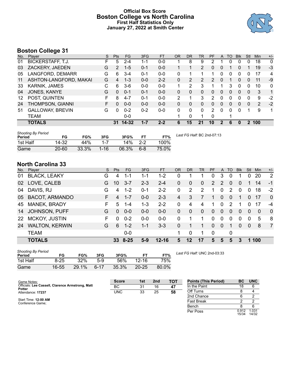# **Official Box Score Boston College vs North Carolina First Half Statistics Only January 27, 2022 at Smith Center**



# **Boston College 31**

| No. | Plaver                   | S  | <b>Pts</b> | FG      | 3FG     | <b>FT</b> | <b>OR</b> | <b>DR</b> | TR       | PF | A | TO | <b>B</b> lk | Stl      | Min | $+/-$        |
|-----|--------------------------|----|------------|---------|---------|-----------|-----------|-----------|----------|----|---|----|-------------|----------|-----|--------------|
| 01  | <b>BICKERSTAFF, T.J.</b> | F. | 5          | 2-4     | $1 - 1$ | $0-0$     |           | 8         | 9        | 2  |   | 0  | 0           | 0        | 18  | $\mathbf 0$  |
| 03  | ZACKERY, JAEDEN          | G  | 2          | $1 - 5$ | $0 - 1$ | $0 - 0$   |           |           | 2        | 0  | 0 |    | 0           |          | 19  | $-3$         |
| 05  | LANGFORD, DEMARR         | G  | 6          | $3 - 4$ | $0 - 1$ | $0-0$     | 0         |           |          |    | 0 | 0  | 0           | 0        | 17  | 4            |
| 11  | ASHTON-LANGFORD, MAKAI   | G  | 4          | $1 - 3$ | $0 - 0$ | $2 - 2$   | 0         | 2         | 2        | 2  | 0 |    | 0           | 0        | 11  | -9           |
| 33  | <b>KARNIK, JAMES</b>     | С  | 6          | $3-6$   | $0 - 0$ | $0-0$     |           | 2         | 3        |    |   | 3  | 0           | $\Omega$ | 10  | $\mathbf{0}$ |
| 04  | JONES, KANYE             | G  | $\Omega$   | $0 - 1$ | $0 - 1$ | $0 - 0$   | 0         | 0         | $\Omega$ | 0  | 0 | 0  | $\Omega$    | 0        | 3   | $\mathbf{1}$ |
| 12  | POST, QUINTEN            | F  | 8          | $4 - 7$ | $0 - 1$ | $0-0$     | 2         |           | 3        | 2  | 0 | 0  | 0           | 0        | 9   | $-2$         |
| 24  | THOMPSON, GIANNI         | F. | 0          | $0 - 0$ | $0 - 0$ | $0 - 0$   | 0         | 0         | 0        | 0  | 0 | 0  | $\Omega$    | 0        | 2   | $-2$         |
| 51  | <b>GALLOWAY, BREVIN</b>  | G  | 0          | $0 - 2$ | $0 - 2$ | $0 - 0$   | 0         | 0         | $\Omega$ | 2  | 0 | 0  | $\Omega$    |          | 9   | 1            |
|     | TEAM                     |    |            | $0-0$   |         |           | 1         | 0         | 1        | 0  |   |    |             |          |     |              |
|     | <b>TOTALS</b>            |    | 31         | 14-32   | 1-7     | $2 - 2$   | 6         | 15        | 21       | 10 |   | 6  | 0           | 2        | 100 |              |

| <b>Shooting By Period</b><br>Period | FG        | FG%   | 3FG      | 3FG%  |       | FT%   | Last FG Half: BC 2nd-07:13 |
|-------------------------------------|-----------|-------|----------|-------|-------|-------|----------------------------|
| 1st Half                            | 14-32     | 44%   | $1 - 7$  | 14%   | - 2-2 | 100%  |                            |
| Game                                | $20 - 60$ | 33.3% | $1 - 16$ | 06.3% | $6-8$ | 75.0% |                            |

# **North Carolina 33**

| No.       | Player                | S  | <b>Pts</b> | <b>FG</b> | 3FG     | <b>FT</b> | <b>OR</b>      | DR           | TR             | <b>PF</b>      | A              | TO       | <b>B</b> lk | Stl          | Min | $+/-$          |
|-----------|-----------------------|----|------------|-----------|---------|-----------|----------------|--------------|----------------|----------------|----------------|----------|-------------|--------------|-----|----------------|
| 01        | <b>BLACK, LEAKY</b>   | G  | 4          | 1-1       | 1-1     | $1 - 2$   | 0              |              |                | 0              | 3              | 0        |             | 0            | 20  | $\overline{2}$ |
| 02        | LOVE, CALEB           | G  | 10         | $3 - 7$   | $2 - 3$ | $2 - 4$   | $\mathbf{0}$   | $\mathbf{0}$ | $\Omega$       | 2              | 2              | $\Omega$ | $\Omega$    |              | 14  | $-1$           |
| 04        | DAVIS, RJ             | G  | 4          | $1 - 2$   | $0 - 1$ | $2 - 2$   | $\Omega$       | 2            | 2              | 1              | $\Omega$       | 2        | $\Omega$    | $\Omega$     | 18  | $-2$           |
| 05        | <b>BACOT, ARMANDO</b> | F. | 4          | $1 - 7$   | $0 - 0$ | $2 - 3$   | 4              | 3            |                | 1              | $\Omega$       | $\Omega$ |             | $\Omega$     | 17  | $\Omega$       |
| 45        | MANEK, BRADY          | F. | 5          | 1-4       | $1 - 3$ | $2 - 2$   | 0              | 4            | 4              | 1              | $\Omega$       | 2        |             | 0            | 17  | -4             |
| 14        | JOHNSON, PUFF         | G  | $\Omega$   | $0 - 0$   | $0 - 0$ | $0-0$     | $\overline{0}$ | $\mathbf{0}$ | $\overline{0}$ | $\overline{0}$ | $\overline{0}$ | $\Omega$ | $\Omega$    | $\Omega$     | 0   | $\Omega$       |
| <b>22</b> | MCKOY, JUSTIN         | F  | $\Omega$   | $0 - 2$   | $0-0$   | $0-0$     | $\Omega$       |              | 1              | $\Omega$       | $\Omega$       | 0        | $\Omega$    | $\Omega$     | 5   | -8             |
| 24        | <b>WALTON, KERWIN</b> | G  | 6          | $1 - 2$   | $1 - 1$ | $3 - 3$   | $\mathbf{0}$   |              |                | $\Omega$       | $\mathbf{0}$   |          | $\Omega$    | $\mathbf{0}$ | 8   | $\overline{7}$ |
|           | <b>TEAM</b>           |    |            | $0-0$     |         |           | 1.             | $\Omega$     | 1.             | $\Omega$       |                | 0        |             |              |     |                |
|           | <b>TOTALS</b>         |    | 33.        | 8-25      | $5-9$   | $12 - 16$ | 5              | 12           | 17             | 5              | 5              | 5        | з           |              | 100 |                |

| <b>Shooting By Period</b><br>Period | FG       | FG%   | 3FG      | 3FG%  |           | FT%   |
|-------------------------------------|----------|-------|----------|-------|-----------|-------|
| 1st Half                            | $8 - 25$ | 32%   | 5-9      | 56%   | $12 - 16$ | 75%   |
| Game                                | 16-55    | 29.1% | $6 - 17$ | 35.3% | $20 - 25$ | 80.0% |

*Last FG Half:* UNC 2nd-03:33

| Game Notes:                                                       | <b>Score</b> | 1st | 2 <sub>nd</sub> | <b>TOT</b> | <b>Points (This Period)</b> | BC.            | <b>UNC</b>     |
|-------------------------------------------------------------------|--------------|-----|-----------------|------------|-----------------------------|----------------|----------------|
| Officials: Lee Cassell, Clarence Armstrong, Matt<br><b>Potter</b> | BC           | 31  | 16              | 47         | In the Paint                | 18             |                |
| Attendance: 17237                                                 | <b>UNC</b>   | 33  | 25              | 58         | Off Turns                   |                |                |
|                                                                   |              |     |                 |            | 2nd Chance                  |                |                |
| Start Time: 12:00 AM<br>Conference Game;                          |              |     |                 |            | Fast Break                  |                |                |
|                                                                   |              |     |                 |            | Bench                       |                |                |
|                                                                   |              |     |                 |            | Per Poss                    | 0.912<br>15/34 | 1.031<br>14/32 |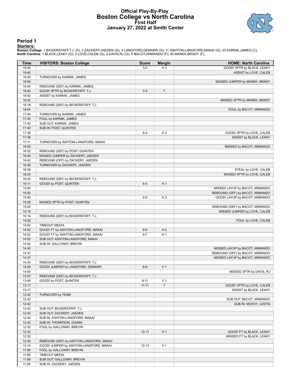## **Official Play-By-Play Boston College vs North Carolina First Half January 27, 2022 at Smith Center**



#### **Period 1**

#### **Starters:**

Boston College: 1 BICKERSTAFF,T.J. (F); 3 ZACKERY,JAEDEN (G); 5 LANGFORD,DEMARR (G); 11 ASHTON-LANGFORD,MAKAI (G); 33 KARNIK,JAMES (C);<br>North Carolina: 1 BLACK,LEAKY (G); 2 LOVE,CALEB (G); 4 DAVIS,RJ (G); 5 BACOT,ARMANDO (

| Time  | <b>VISITORS: Boston College</b>         | <b>Score</b> | <b>Margin</b>  | <b>HOME: North Carolina</b>     |
|-------|-----------------------------------------|--------------|----------------|---------------------------------|
| 19:45 |                                         | $3-0$        | H <sub>3</sub> | GOOD! 3PTR by BLACK, LEAKY      |
| 19:45 |                                         |              |                | ASSIST by LOVE, CALEB           |
| 19:25 | TURNOVER by KARNIK, JAMES               |              |                |                                 |
| 18:59 |                                         |              |                | MISSED JUMPER by MANEK, BRADY   |
| 18:54 | REBOUND (DEF) by KARNIK, JAMES          |              |                |                                 |
| 18:42 | GOOD! 3PTR by BICKERSTAFF, T.J.         | $3 - 3$      | T              |                                 |
| 18:42 | ASSIST by KARNIK, JAMES                 |              |                |                                 |
| 18:22 |                                         |              |                | MISSED 3PTR by MANEK, BRADY     |
| 18:18 | REBOUND (DEF) by BICKERSTAFF, T.J.      |              |                |                                 |
| 18:04 |                                         |              |                | FOUL by BACOT, ARMANDO          |
| 17:54 | TURNOVER by KARNIK, JAMES               |              |                |                                 |
| 17:40 | FOUL by KARNIK, JAMES                   |              |                |                                 |
| 17:40 | SUB OUT: KARNIK, JAMES                  |              |                |                                 |
| 17:40 | SUB IN: POST, QUINTEN                   |              |                |                                 |
| 17:38 |                                         | $6 - 3$      | H <sub>3</sub> | GOOD! 3PTR by LOVE, CALEB       |
| 17:38 |                                         |              |                | ASSIST by BLACK, LEAKY          |
| 17:11 | TURNOVER by ASHTON-LANGFORD, MAKAI      |              |                |                                 |
| 16:55 |                                         |              |                | MISSED by BACOT, ARMANDO        |
| 16:52 | REBOUND (DEF) by POST, QUINTEN          |              |                |                                 |
| 16:45 | MISSED JUMPER by ZACKERY, JAEDEN        |              |                |                                 |
| 16:42 | REBOUND (OFF) by ZACKERY, JAEDEN        |              |                |                                 |
| 16:38 | TURNOVER by ZACKERY, JAEDEN             |              |                |                                 |
| 16:38 |                                         |              |                | STEAL by LOVE, CALEB            |
| 16:25 |                                         |              |                | MISSED 3PTR by LOVE, CALEB      |
| 16:22 | REBOUND (DEF) by BICKERSTAFF, T.J.      |              |                |                                 |
| 16:11 | GOOD! by POST, QUINTEN                  | $6-5$        | H <sub>1</sub> |                                 |
| 15:54 |                                         |              |                | MISSED LAYUP by BACOT, ARMANDO  |
| 15:50 |                                         |              |                | REBOUND (OFF) by BACOT, ARMANDO |
| 15:50 |                                         | $8 - 5$      | H <sub>3</sub> | GOOD! LAYUP by BACOT, ARMANDO   |
| 15:28 | MISSED 3PTR by POST, QUINTEN            |              |                |                                 |
| 15:25 |                                         |              |                | REBOUND (DEF) by BACOT, ARMANDO |
| 15:18 |                                         |              |                | MISSED JUMPER by LOVE, CALEB    |
| 15:14 | REBOUND (DEF) by BICKERSTAFF, T.J.      |              |                |                                 |
| 14:52 |                                         |              |                | FOUL by LOVE, CALEB             |
| 14:52 | <b>TIMEOUT MEDIA</b>                    |              |                |                                 |
| 14:52 | GOOD! FT by ASHTON-LANGFORD, MAKAI      | $8 - 6$      | H <sub>2</sub> |                                 |
| 14:52 | GOOD! FT by ASHTON-LANGFORD, MAKAI      | $8 - 7$      | H <sub>1</sub> |                                 |
| 14:52 | SUB OUT: ASHTON-LANGFORD, MAKAI         |              |                |                                 |
| 14:52 | SUB IN: GALLOWAY, BREVIN                |              |                |                                 |
| 14:40 |                                         |              |                | MISSED LAYUP by BACOT, ARMANDO  |
| 14:37 |                                         |              |                | REBOUND (OFF) by BACOT, ARMANDO |
| 14:37 |                                         |              |                | MISSED LAYUP by BACOT, ARMANDO  |
| 14:34 | REBOUND (DEF) by BICKERSTAFF, T.J.      |              |                |                                 |
| 14:29 | GOOD! JUMPER by LANGFORD, DEMARR        | $8-9$        | V <sub>1</sub> |                                 |
| 14:00 |                                         |              |                | MISSED 3PTR by DAVIS, RJ        |
| 13:57 | REBOUND (DEF) by BICKERSTAFF, T.J.      |              |                |                                 |
| 13:45 | GOOD! by POST, QUINTEN                  | $8 - 11$     | $V_3$          |                                 |
| 13:17 |                                         | $11 - 11$    | $\mathsf T$    | GOOD! 3PTR by LOVE, CALEB       |
| 13:17 |                                         |              |                | ASSIST by BLACK, LEAKY          |
| 12:42 | TURNOVER by TEAM                        |              |                |                                 |
| 12:42 |                                         |              |                | SUB OUT: BACOT, ARMANDO         |
| 12:42 |                                         |              |                | SUB IN: MCKOY, JUSTIN           |
| 12:42 | SUB OUT: BICKERSTAFF, T.J.              |              |                |                                 |
| 12:42 | SUB OUT: ZACKERY, JAEDEN                |              |                |                                 |
| 12:42 | SUB IN: ASHTON-LANGFORD, MAKAI          |              |                |                                 |
| 12:42 | SUB IN: THOMPSON, GIANNI                |              |                |                                 |
| 12:32 | FOUL by GALLOWAY, BREVIN                |              |                |                                 |
| 12:32 |                                         | $12 - 11$    | H <sub>1</sub> | GOOD! FT by BLACK, LEAKY        |
| 12:32 |                                         |              |                | MISSED FT by BLACK, LEAKY       |
| 12:30 | REBOUND (DEF) by ASHTON-LANGFORD, MAKAI |              |                |                                 |
| 12:14 | GOOD! JUMPER by ASHTON-LANGFORD, MAKAI  | $12 - 13$    | V <sub>1</sub> |                                 |
| 11:59 | FOUL by GALLOWAY, BREVIN                |              |                |                                 |
| 11:59 | <b>TIMEOUT MEDIA</b>                    |              |                |                                 |
| 11:59 | SUB OUT: GALLOWAY, BREVIN               |              |                |                                 |
| 11:59 | SUB IN: ZACKERY, JAEDEN                 |              |                |                                 |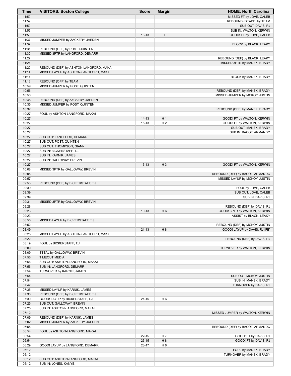| Time           | <b>VISITORS: Boston College</b>                                    | <b>Score</b>           | <b>Margin</b>  | <b>HOME: North Carolina</b>                    |
|----------------|--------------------------------------------------------------------|------------------------|----------------|------------------------------------------------|
| 11:59          |                                                                    |                        |                | MISSED FT by LOVE, CALEB                       |
| 11:59          |                                                                    |                        |                | REBOUND (DEADB) by TEAM                        |
| 11:59          |                                                                    |                        |                | SUB OUT: DAVIS, RJ                             |
| 11:59          |                                                                    |                        |                | SUB IN: WALTON, KERWIN                         |
| 11:59<br>11:37 |                                                                    | $13 - 13$              | $\top$         | GOOD! FT by LOVE, CALEB                        |
| 11:37          | MISSED JUMPER by ZACKERY, JAEDEN                                   |                        |                | BLOCK by BLACK, LEAKY                          |
| 11:31          | REBOUND (OFF) by POST, QUINTEN                                     |                        |                |                                                |
| 11:30          | MISSED 3PTR by LANGFORD, DEMARR                                    |                        |                |                                                |
| 11:27          |                                                                    |                        |                | REBOUND (DEF) by BLACK, LEAKY                  |
| 11:24          |                                                                    |                        |                | MISSED 3PTR by MANEK, BRADY                    |
| 11:20          | REBOUND (DEF) by ASHTON-LANGFORD, MAKAI                            |                        |                |                                                |
| 11:14          | MISSED LAYUP by ASHTON-LANGFORD, MAKAI                             |                        |                |                                                |
| 11:14          |                                                                    |                        |                | BLOCK by MANEK, BRADY                          |
| 11:13          | REBOUND (OFF) by TEAM                                              |                        |                |                                                |
| 10:59          | MISSED JUMPER by POST, QUINTEN                                     |                        |                |                                                |
| 10:56          |                                                                    |                        |                | REBOUND (DEF) by MANEK, BRADY                  |
| 10:50          |                                                                    |                        |                | MISSED JUMPER by MCKOY, JUSTIN                 |
| 10:45<br>10:35 | REBOUND (DEF) by ZACKERY, JAEDEN<br>MISSED JUMPER by POST, QUINTEN |                        |                |                                                |
| 10:32          |                                                                    |                        |                | REBOUND (DEF) by MANEK, BRADY                  |
| 10:27          | FOUL by ASHTON-LANGFORD, MAKAI                                     |                        |                |                                                |
| 10:27          |                                                                    | $14 - 13$              | H <sub>1</sub> | GOOD! FT by WALTON, KERWIN                     |
| 10:27          |                                                                    | $15 - 13$              | H <sub>2</sub> | GOOD! FT by WALTON, KERWIN                     |
| 10:27          |                                                                    |                        |                | SUB OUT: MANEK, BRADY                          |
| 10:27          |                                                                    |                        |                | SUB IN: BACOT, ARMANDO                         |
| 10:27          | SUB OUT: LANGFORD, DEMARR                                          |                        |                |                                                |
| 10:27          | SUB OUT: POST, QUINTEN                                             |                        |                |                                                |
| 10:27          | SUB OUT: THOMPSON, GIANNI                                          |                        |                |                                                |
| 10:27          | SUB IN: BICKERSTAFF, T.J.                                          |                        |                |                                                |
| 10:27<br>10:27 | SUB IN: KARNIK, JAMES<br>SUB IN: GALLOWAY, BREVIN                  |                        |                |                                                |
| 10:27          |                                                                    | $16-13$                | $H_3$          | GOOD! FT by WALTON, KERWIN                     |
| 10:08          | MISSED 3PTR by GALLOWAY, BREVIN                                    |                        |                |                                                |
| 10:05          |                                                                    |                        |                | REBOUND (DEF) by BACOT, ARMANDO                |
| 09:57          |                                                                    |                        |                | MISSED LAYUP by MCKOY, JUSTIN                  |
| 09:53          | REBOUND (DEF) by BICKERSTAFF, T.J.                                 |                        |                |                                                |
| 09:39          |                                                                    |                        |                | FOUL by LOVE, CALEB                            |
| 09:39          |                                                                    |                        |                | SUB OUT: LOVE, CALEB                           |
| 09:39          |                                                                    |                        |                | SUB IN: DAVIS, RJ                              |
| 09:31          | MISSED 3PTR by GALLOWAY, BREVIN                                    |                        |                |                                                |
| 09:28          |                                                                    |                        |                | REBOUND (DEF) by DAVIS, RJ                     |
| 09:23          |                                                                    | 19-13                  | H <sub>6</sub> | GOOD! 3PTR by WALTON, KERWIN                   |
| 09:23<br>08:56 | MISSED LAYUP by BICKERSTAFF, T.J.                                  |                        |                | ASSIST by BLACK, LEAKY                         |
| 08:52          |                                                                    |                        |                | REBOUND (DEF) by MCKOY, JUSTIN                 |
| 08:49          |                                                                    | $21 - 13$              | H 8            | GOOD! LAYUP by DAVIS, RJ [FB]                  |
| 08:25          | MISSED LAYUP by ASHTON-LANGFORD, MAKAI                             |                        |                |                                                |
| 08:22          |                                                                    |                        |                | REBOUND (DEF) by DAVIS, RJ                     |
| 08:19          | FOUL by BICKERSTAFF, T.J.                                          |                        |                |                                                |
| 08:09          |                                                                    |                        |                | TURNOVER by WALTON, KERWIN                     |
| 08:09          | STEAL by GALLOWAY, BREVIN                                          |                        |                |                                                |
| 07:56          | <b>TIMEOUT MEDIA</b>                                               |                        |                |                                                |
| 07:56          | SUB OUT: ASHTON-LANGFORD, MAKAI                                    |                        |                |                                                |
| 07:56          | SUB IN: LANGFORD, DEMARR                                           |                        |                |                                                |
| 07:54          | TURNOVER by KARNIK, JAMES                                          |                        |                | SUB OUT: MCKOY, JUSTIN                         |
| 07:54<br>07:54 |                                                                    |                        |                | SUB IN: MANEK, BRADY                           |
| 07:47          |                                                                    |                        |                | TURNOVER by DAVIS, RJ                          |
| 07:35          | MISSED LAYUP by KARNIK, JAMES                                      |                        |                |                                                |
| 07:30          | REBOUND (OFF) by BICKERSTAFF, T.J.                                 |                        |                |                                                |
| 07:30          | GOOD! LAYUP by BICKERSTAFF, T.J.                                   | $21 - 15$              | H <sub>6</sub> |                                                |
| 07:25          | SUB OUT: GALLOWAY, BREVIN                                          |                        |                |                                                |
| 07:25          | SUB IN: ASHTON-LANGFORD, MAKAI                                     |                        |                |                                                |
| 07:12          |                                                                    |                        |                | MISSED JUMPER by WALTON, KERWIN                |
| 07:09          | REBOUND (DEF) by KARNIK, JAMES                                     |                        |                |                                                |
| 07:02          | MISSED JUMPER by ZACKERY, JAEDEN                                   |                        |                |                                                |
| 06:58          |                                                                    |                        |                | REBOUND (DEF) by BACOT, ARMANDO                |
| 06:54          | FOUL by ASHTON-LANGFORD, MAKAI                                     |                        |                |                                                |
| 06:54<br>06:54 |                                                                    | $22 - 15$<br>$23 - 15$ | H 7<br>H 8     | GOOD! FT by DAVIS, RJ<br>GOOD! FT by DAVIS, RJ |
| 06:29          | GOOD! LAYUP by LANGFORD, DEMARR                                    | $23 - 17$              | H <sub>6</sub> |                                                |
| 06:12          |                                                                    |                        |                | FOUL by MANEK, BRADY                           |
| 06:12          |                                                                    |                        |                | TURNOVER by MANEK, BRADY                       |
| 06:12          | SUB OUT: ASHTON-LANGFORD, MAKAI                                    |                        |                |                                                |
| 06:12          | SUB IN: JONES, KANYE                                               |                        |                |                                                |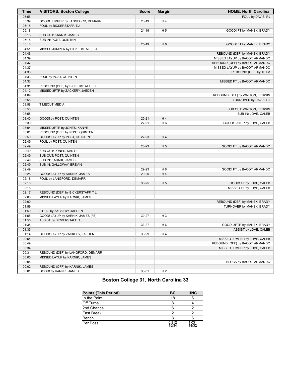| <b>Time</b> | <b>VISITORS: Boston College</b>    | <b>Score</b> | <b>Margin</b>  | <b>HOME: North Carolina</b>     |
|-------------|------------------------------------|--------------|----------------|---------------------------------|
| 05:55       |                                    |              |                | FOUL by DAVIS, RJ               |
| 05:39       | GOOD! JUMPER by LANGFORD, DEMARR   | 23-19        | H4             |                                 |
| 05:18       | FOUL by BICKERSTAFF, T.J.          |              |                |                                 |
| 05:18       |                                    | 24-19        | H <sub>5</sub> | GOOD! FT by MANEK, BRADY        |
| 05:18       | SUB OUT: KARNIK, JAMES             |              |                |                                 |
| 05:18       | SUB IN: POST, QUINTEN              |              |                |                                 |
| 05:18       |                                    | $25-19$      | H <sub>6</sub> | GOOD! FT by MANEK, BRADY        |
| 04:51       | MISSED JUMPER by BICKERSTAFF, T.J. |              |                |                                 |
| 04:46       |                                    |              |                | REBOUND (DEF) by MANEK, BRADY   |
| 04:39       |                                    |              |                | MISSED LAYUP by BACOT, ARMANDO  |
| 04:37       |                                    |              |                | REBOUND (OFF) by BACOT, ARMANDO |
| 04:37       |                                    |              |                | MISSED LAYUP by BACOT, ARMANDO  |
| 04:36       |                                    |              |                | REBOUND (OFF) by TEAM           |
| 04:33       | FOUL by POST, QUINTEN              |              |                |                                 |
| 04:33       |                                    |              |                | MISSED FT by BACOT, ARMANDO     |
| 04:31       | REBOUND (DEF) by BICKERSTAFF, T.J. |              |                |                                 |
| 04:12       | MISSED 3PTR by ZACKERY, JAEDEN     |              |                |                                 |
| 04:09       |                                    |              |                | REBOUND (DEF) by WALTON, KERWIN |
| 03:58       |                                    |              |                | TURNOVER by DAVIS, RJ           |
| 03:58       | <b>TIMEOUT MEDIA</b>               |              |                |                                 |
| 03:58       |                                    |              |                | SUB OUT: WALTON, KERWIN         |
| 03:58       |                                    |              |                | SUB IN: LOVE, CALEB             |
| 03:40       | GOOD! by POST, QUINTEN             | $25 - 21$    | H4             |                                 |
| 03:30       |                                    | $27 - 21$    | H <sub>6</sub> | GOOD! LAYUP by LOVE, CALEB      |
| 03:04       | MISSED 3PTR by JONES, KANYE        |              |                |                                 |
| 03:01       | REBOUND (OFF) by POST, QUINTEN     |              |                |                                 |
| 02:59       | GOOD! LAYUP by POST, QUINTEN       | 27-23        | H4             |                                 |
| 02:49       | FOUL by POST, QUINTEN              |              |                |                                 |
| 02:49       |                                    | 28-23        | H <sub>5</sub> | GOOD! FT by BACOT, ARMANDO      |
| 02:49       | SUB OUT: JONES, KANYE              |              |                |                                 |
| 02:49       | SUB OUT: POST, QUINTEN             |              |                |                                 |
| 02:49       | SUB IN: KARNIK, JAMES              |              |                |                                 |
| 02:49       | SUB IN: GALLOWAY, BREVIN           |              |                |                                 |
| 02:49       |                                    | 29-23        | H <sub>6</sub> | GOOD! FT by BACOT, ARMANDO      |
| 02:28       | GOOD! LAYUP by KARNIK, JAMES       | 29-25        | H4             |                                 |
| 02:18       | FOUL by LANGFORD, DEMARR           |              |                |                                 |
| 02:18       |                                    | $30 - 25$    | H <sub>5</sub> | GOOD! FT by LOVE, CALEB         |
| 02:18       |                                    |              |                | MISSED FT by LOVE, CALEB        |
| 02:17       | REBOUND (DEF) by BICKERSTAFF, T.J. |              |                |                                 |
| 02:03       | MISSED LAYUP by KARNIK, JAMES      |              |                |                                 |
| 02:00       |                                    |              |                | REBOUND (DEF) by MANEK, BRADY   |
| 01:59       |                                    |              |                | TURNOVER by MANEK, BRADY        |
| 01:59       | STEAL by ZACKERY, JAEDEN           |              |                |                                 |
| 01:55       | GOOD! LAYUP by KARNIK, JAMES [FB]  | 30-27        | $H_3$          |                                 |
| 01:55       | ASSIST by BICKERSTAFF, T.J.        |              |                |                                 |
| 01:35       |                                    | 33-27        | H <sub>6</sub> | GOOD! 3PTR by MANEK, BRADY      |
| 01:35       |                                    |              |                | ASSIST by LOVE, CALEB           |
| 01:14       | GOOD! LAYUP by ZACKERY, JAEDEN     | 33-29        | H4             |                                 |
| 00:54       |                                    |              |                | MISSED JUMPER by LOVE, CALEB    |
| 00:49       |                                    |              |                | REBOUND (OFF) by BACOT, ARMANDO |
| 00:34       |                                    |              |                | MISSED JUMPER by LOVE, CALEB    |
| 00:31       | REBOUND (DEF) by LANGFORD, DEMARR  |              |                |                                 |
| 00:05       | MISSED LAYUP by KARNIK, JAMES      |              |                |                                 |
| 00:05       |                                    |              |                | BLOCK by BACOT, ARMANDO         |
| 00:02       | REBOUND (OFF) by KARNIK, JAMES     |              |                |                                 |
| 00:01       | GOOD! by KARNIK, JAMES             | 33-31        | H <sub>2</sub> |                                 |

# **Boston College 31, North Carolina 33**

| <b>Points (This Period)</b> | <b>BC</b>      | <b>UNC</b>     |
|-----------------------------|----------------|----------------|
| In the Paint                | 18             |                |
| Off Turns                   |                |                |
| 2nd Chance                  |                |                |
| Fast Break                  | າ              |                |
| Bench                       |                |                |
| Per Poss                    | 0.912<br>15/34 | 1.031<br>14/32 |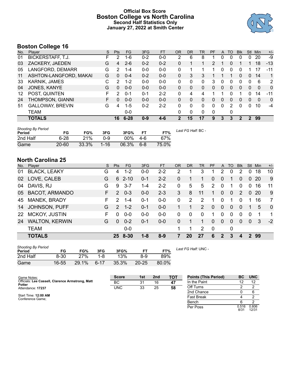# **Official Box Score Boston College vs North Carolina Second Half Statistics Only January 27, 2022 at Smith Center**



# **Boston College 16**

| No. | Plaver                   | S. | <b>Pts</b> | <b>FG</b> | 3FG     | <b>FT</b> | 0R       | DR           | TR | PF       | A        | TO       | <b>Blk</b> | Stl           | Min          | $+/-$          |
|-----|--------------------------|----|------------|-----------|---------|-----------|----------|--------------|----|----------|----------|----------|------------|---------------|--------------|----------------|
| 01  | <b>BICKERSTAFF, T.J.</b> | F  | 2          | 1-6       | $0 - 2$ | $0-0$     | 2        | 6            | 8  |          | 0        | 0        | 0          | 0             | 20           | -9             |
| 03  | ZACKERY, JAEDEN          | G  | 4          | $2 - 6$   | $0 - 2$ | $0 - 2$   | 0        |              |    | 2        |          | 0        |            |               | 18           | $-13$          |
| 05  | LANGFORD, DEMARR         | G  | 2          | $1 - 4$   | $0 - 0$ | $0 - 0$   | 0        |              |    |          | $\Omega$ | 0        | 0          |               | 17           | $-11$          |
| 11  | ASHTON-LANGFORD, MAKAI   | G  | 0          | $0 - 4$   | $0 - 2$ | $0 - 0$   | $\Omega$ | 3            | 3  |          |          |          | 0          | $\Omega$      | 14           | 1              |
| 33  | <b>KARNIK, JAMES</b>     | C  | 2          | $1 - 2$   | $0 - 0$ | $0 - 0$   | 0        | 0            | 0  | 3        | $\Omega$ | 0        | 0          | 0             | 6            | $\overline{2}$ |
| 04  | JONES, KANYE             | G  | 0          | $0 - 0$   | $0 - 0$ | $0 - 0$   | $\Omega$ | 0            | 0  | 0        | $\Omega$ | 0        | 0          | $\mathbf{0}$  | $\mathbf{0}$ | $\mathbf{0}$   |
| 12  | POST, QUINTEN            | F  | 2          | $0 - 1$   | $0 - 1$ | $2 - 2$   | 0        | 4            | 4  |          |          |          |            |               | 14           | $-11$          |
| 24  | THOMPSON, GIANNI         | F  | 0          | $0 - 0$   | $0 - 0$ | $0 - 0$   | $\Omega$ | 0            | 0  | 0        | 0        | $\Omega$ | 0          | 0             | $\Omega$     | $\mathbf{0}$   |
| 51  | <b>GALLOWAY, BREVIN</b>  | G  | 4          | $1 - 5$   | $0 - 2$ | $2 - 2$   | 0        | $\Omega$     | 0  | $\Omega$ | $\Omega$ | 2        | 0          | $\Omega$      | 10           | -4             |
|     | TEAM                     |    |            | $0 - 0$   |         |           | $\Omega$ | $\mathbf{0}$ | 0  | $\Omega$ |          | 0        |            |               |              |                |
|     | <b>TOTALS</b>            |    | 16         | $6 - 28$  | $0 - 9$ | $4 - 6$   | 2        | 15           | 17 | 9        | 3        | 3        | 2          | $\mathcal{P}$ | 99           |                |

| <b>Shooting By Period</b><br>Period | FG        | FG%      | 3FG      | 3FG%  | FT.     | FT%   | Last FG Half: BC - |
|-------------------------------------|-----------|----------|----------|-------|---------|-------|--------------------|
| 2nd Half                            | $6 - 28$  | 21%      | 0-9      | 00%   | - 4-6   | 67%   |                    |
| Game                                | $20 - 60$ | $33.3\%$ | $1 - 16$ | 06.3% | $6 - 8$ | 75.0% |                    |

# **North Carolina 25**

| No.       | Player                | S. | <b>Pts</b>      | FG       | 3FG     | FT      | <b>OR</b> | DR       | TR       | PF             | A        | TO          | <b>BIK</b>     | Stl            | Min       | $+/-$          |
|-----------|-----------------------|----|-----------------|----------|---------|---------|-----------|----------|----------|----------------|----------|-------------|----------------|----------------|-----------|----------------|
| 01        | <b>BLACK, LEAKY</b>   | G  | 4               | $1 - 2$  | $0 - 0$ | $2 - 2$ | 2         |          | 3        |                | 2        | 0           | $\overline{2}$ | 0              | 18        | 10             |
| 02        | LOVE, CALEB           | G  | 6               | $2 - 10$ | $0 - 1$ | $2 - 2$ | $\Omega$  |          |          | $\overline{0}$ | 0        |             | 0              | $\overline{0}$ | <b>20</b> | 9              |
| 04        | DAVIS, RJ             | G  | 9               | $3 - 7$  | 1-4     | $2 - 2$ | 0         | 5        | 5        | 2              | $\Omega$ |             | 0              | 0              | 16        | 11             |
| 05        | <b>BACOT, ARMANDO</b> | F. | 2               | $0 - 3$  | $0 - 0$ | $2 - 3$ | 3         | 8        | 11       | 1              | $\Omega$ | $\Omega$    | 2              | $\mathbf{0}$   | <b>20</b> | 9              |
| 45        | MANEK, BRADY          | F. | $\mathcal{P}$   | $1 - 4$  | $0 - 1$ | $0-0$   | $\Omega$  | 2        | 2        |                | $\Omega$ |             | 0              | 1              | 16        | $\overline{7}$ |
| 14        | <b>JOHNSON, PUFF</b>  | G  | $\mathcal{P}$   | $1 - 2$  | $0 - 1$ | $0-0$   |           |          | 2        | $\Omega$       | 0        | $\Omega$    | $\Omega$       |                | 5         | $\Omega$       |
| <b>22</b> | MCKOY, JUSTIN         | F  | 0               | $0 - 0$  | $0 - 0$ | $0-0$   | $\Omega$  | $\Omega$ | $\Omega$ |                | $\Omega$ | $\Omega$    | $\Omega$       | $\Omega$       |           | -1             |
| 24        | <b>WALTON, KERWIN</b> | G  | 0               | $0 - 2$  | $0 - 1$ | $0-0$   | $\Omega$  |          |          | 0              | 0        | $\Omega$    | $\Omega$       | $\Omega$       | 3         | $-2$           |
|           | <b>TEAM</b>           |    |                 | $0-0$    |         |         |           |          | 2        | $\Omega$       |          | $\mathbf 0$ |                |                |           |                |
|           | <b>TOTALS</b>         |    | 25 <sub>1</sub> | 8-30     | $1 - 8$ | $8 - 9$ |           | 20       | 27       | 6              | 2        | 3           |                | 2              | 99        |                |

| <b>Shooting By Period</b><br>Period | FG    | FG%   | 3FG      | 3FG%  | FТ        | FT%   |  |
|-------------------------------------|-------|-------|----------|-------|-----------|-------|--|
| 2nd Half                            | 8-30  | 27%   | 1-8      | 13%   | 8-9       | 89%   |  |
| Game                                | 16-55 | 29.1% | $6 - 17$ | 35.3% | $20 - 25$ | 80.0% |  |

*Last FG Half:* UNC -

| Game Notes:                                                       | <b>Score</b> | 1st | 2 <sub>nd</sub> | <b>TOT</b> | <b>Points (This Period)</b> | <b>BC</b>     | <b>UNC</b>     |
|-------------------------------------------------------------------|--------------|-----|-----------------|------------|-----------------------------|---------------|----------------|
| Officials: Lee Cassell, Clarence Armstrong, Matt<br><b>Potter</b> | BC           | 31  | 16              | 47         | In the Paint                |               | 12             |
| Attendance: 17237                                                 | <b>UNC</b>   | 33  | 25              | 58         | Off Turns                   |               |                |
|                                                                   |              |     |                 |            | 2nd Chance                  |               |                |
| Start Time: 12:00 AM<br>Conference Game:                          |              |     |                 |            | <b>Fast Break</b>           |               |                |
|                                                                   |              |     |                 |            | Bench                       |               |                |
|                                                                   |              |     |                 |            | Per Poss                    | 0.516<br>8/31 | 0.806<br>12/31 |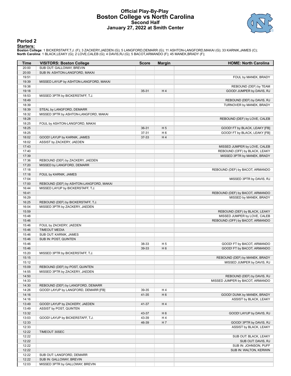## **Official Play-By-Play Boston College vs North Carolina Second Half January 27, 2022 at Smith Center**



#### **Period 2**

#### **Starters:**

Boston College: 1 BICKERSTAFF,T.J. (F); 3 ZACKERY,JAEDEN (G); 5 LANGFORD,DEMARR (G); 11 ASHTON-LANGFORD,MAKAI (G); 33 KARNIK,JAMES (C);<br>North Carolina: 1 BLACK,LEAKY (G); 2 LOVE,CALEB (G); 4 DAVIS,RJ (G); 5 BACOT,ARMANDO (

| Time           | <b>VISITORS: Boston College</b>         | <b>Score</b> | <b>Margin</b>  | <b>HOME: North Carolina</b>     |
|----------------|-----------------------------------------|--------------|----------------|---------------------------------|
| 20:00          | SUB OUT: GALLOWAY, BREVIN               |              |                |                                 |
| 20:00          | SUB IN: ASHTON-LANGFORD, MAKAI          |              |                |                                 |
| 19:51          |                                         |              |                | FOUL by MANEK, BRADY            |
| 19:39          | MISSED LAYUP by ASHTON-LANGFORD, MAKAI  |              |                |                                 |
| 19:38          |                                         |              |                | REBOUND (DEF) by TEAM           |
| 19:18          |                                         | 35-31        | H4             | GOOD! JUMPER by DAVIS, RJ       |
| 18:53          | MISSED 3PTR by BICKERSTAFF, T.J.        |              |                |                                 |
| 18:49          |                                         |              |                | REBOUND (DEF) by DAVIS, RJ      |
| 18:39          |                                         |              |                | TURNOVER by MANEK, BRADY        |
| 18:39          | STEAL by LANGFORD, DEMARR               |              |                |                                 |
| 18:32          | MISSED 3PTR by ASHTON-LANGFORD, MAKAI   |              |                |                                 |
| 18:28          |                                         |              |                | REBOUND (DEF) by LOVE, CALEB    |
| 18:25          | FOUL by ASHTON-LANGFORD, MAKAI          |              |                |                                 |
| 18:25          |                                         | 36-31        | H <sub>5</sub> | GOOD! FT by BLACK, LEAKY [FB]   |
| 18:25          |                                         | 37-31        | H <sub>6</sub> | GOOD! FT by BLACK, LEAKY [FB]   |
| 18:02          | GOOD! LAYUP by KARNIK, JAMES            | 37-33        | H4             |                                 |
| 18:02          | ASSIST by ZACKERY, JAEDEN               |              |                |                                 |
| 17:43          |                                         |              |                | MISSED JUMPER by LOVE, CALEB    |
| 17:40          |                                         |              |                | REBOUND (OFF) by BLACK, LEAKY   |
| 17:39          |                                         |              |                | MISSED 3PTR by MANEK, BRADY     |
| 17:36          | REBOUND (DEF) by ZACKERY, JAEDEN        |              |                |                                 |
| 17:20          | MISSED by LANGFORD, DEMARR              |              |                |                                 |
| 17:18          |                                         |              |                | REBOUND (DEF) by BACOT, ARMANDO |
| 17:18          | FOUL by KARNIK, JAMES                   |              |                |                                 |
| 17:04          |                                         |              |                | MISSED 3PTR by DAVIS, RJ        |
| 17:00<br>16:44 | REBOUND (DEF) by ASHTON-LANGFORD, MAKAI |              |                |                                 |
| 16:41          | MISSED LAYUP by BICKERSTAFF, T.J.       |              |                | REBOUND (DEF) by BACOT, ARMANDO |
| 16:29          |                                         |              |                |                                 |
| 16:25          | REBOUND (DEF) by BICKERSTAFF, T.J.      |              |                | MISSED by MANEK, BRADY          |
| 16:04          | MISSED 3PTR by ZACKERY, JAEDEN          |              |                |                                 |
| 15:59          |                                         |              |                | REBOUND (DEF) by BLACK, LEAKY   |
| 15:48          |                                         |              |                | MISSED JUMPER by LOVE, CALEB    |
| 15:46          |                                         |              |                | REBOUND (OFF) by BACOT, ARMANDO |
| 15:46          | FOUL by ZACKERY, JAEDEN                 |              |                |                                 |
| 15:46          | <b>TIMEOUT MEDIA</b>                    |              |                |                                 |
| 15:46          | SUB OUT: KARNIK, JAMES                  |              |                |                                 |
| 15:46          | SUB IN: POST, QUINTEN                   |              |                |                                 |
| 15:46          |                                         | 38-33        | H <sub>5</sub> | GOOD! FT by BACOT, ARMANDO      |
| 15:46          |                                         | 39-33        | H <sub>6</sub> | GOOD! FT by BACOT, ARMANDO      |
| 15:20          | MISSED 3PTR by BICKERSTAFF, T.J.        |              |                |                                 |
| 15:15          |                                         |              |                | REBOUND (DEF) by MANEK, BRADY   |
| 15:12          |                                         |              |                | MISSED JUMPER by DAVIS, RJ      |
| 15:09          | REBOUND (DEF) by POST, QUINTEN          |              |                |                                 |
| 14:55          | MISSED 3PTR by ZACKERY, JAEDEN          |              |                |                                 |
| 14:50          |                                         |              |                | REBOUND (DEF) by DAVIS, RJ      |
| 14:33          |                                         |              |                | MISSED JUMPER by BACOT, ARMANDO |
| 14:30          | REBOUND (DEF) by LANGFORD, DEMARR       |              |                |                                 |
| 14:26          | GOOD! LAYUP by LANGFORD, DEMARR [FB]    | 39-35        | H 4            |                                 |
| 14:16          |                                         | 41-35        | H <sub>6</sub> | GOOD! DUNK by MANEK, BRADY      |
| 14:16          |                                         |              |                | ASSIST by BLACK, LEAKY          |
| 13:49          | GOOD! LAYUP by ZACKERY, JAEDEN          | 41-37        | H4             |                                 |
| 13:49          | ASSIST by POST, QUINTEN                 |              |                |                                 |
| 13:32          |                                         | 43-37        | H <sub>6</sub> | GOOD! LAYUP by DAVIS, RJ        |
| 13:03          | GOOD! LAYUP by BICKERSTAFF, T.J.        | 43-39        | H 4            |                                 |
| 12:33          |                                         | 46-39        | H <sub>7</sub> | GOOD! 3PTR by DAVIS, RJ         |
| 12:33          |                                         |              |                | ASSIST by BLACK, LEAKY          |
| 12:22          | TIMEOUT 30SEC                           |              |                |                                 |
| 12:22          |                                         |              |                | SUB OUT: BLACK, LEAKY           |
| 12:22          |                                         |              |                | SUB OUT: DAVIS, RJ              |
| 12:22          |                                         |              |                | SUB IN: JOHNSON, PUFF           |
| 12:22          |                                         |              |                | SUB IN: WALTON, KERWIN          |
| 12:22          | SUB OUT: LANGFORD, DEMARR               |              |                |                                 |
| 12:22          | SUB IN: GALLOWAY, BREVIN                |              |                |                                 |
| 12:03          | MISSED 3PTR by GALLOWAY, BREVIN         |              |                |                                 |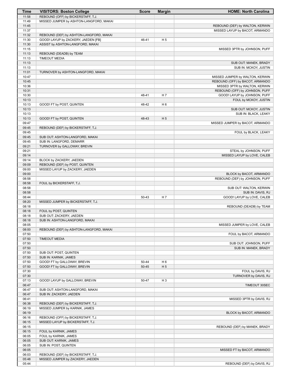| Time           | <b>VISITORS: Boston College</b>         | <b>Score</b> | <b>Margin</b>  | <b>HOME: North Carolina</b>                |
|----------------|-----------------------------------------|--------------|----------------|--------------------------------------------|
| 11:58          | REBOUND (OFF) by BICKERSTAFF, T.J.      |              |                |                                            |
| 11:49          | MISSED JUMPER by ASHTON-LANGFORD, MAKAI |              |                |                                            |
| 11:45          |                                         |              |                | REBOUND (DEF) by WALTON, KERWIN            |
| 11:37          |                                         |              |                | MISSED LAYUP by BACOT, ARMANDO             |
| 11:32          | REBOUND (DEF) by ASHTON-LANGFORD, MAKAI |              |                |                                            |
| 11:30          | GOOD! LAYUP by ZACKERY, JAEDEN [FB]     | 46-41        | H <sub>5</sub> |                                            |
| 11:30          | ASSIST by ASHTON-LANGFORD, MAKAI        |              |                |                                            |
| 11:15<br>11:13 | REBOUND (DEADB) by TEAM                 |              |                | MISSED 3PTR by JOHNSON, PUFF               |
| 11:13          | <b>TIMEOUT MEDIA</b>                    |              |                |                                            |
| 11:13          |                                         |              |                | SUB OUT: MANEK, BRADY                      |
| 11:13          |                                         |              |                | SUB IN: MCKOY, JUSTIN                      |
| 11:01          | TURNOVER by ASHTON-LANGFORD, MAKAI      |              |                |                                            |
| 10:47          |                                         |              |                | MISSED JUMPER by WALTON, KERWIN            |
| 10:45          |                                         |              |                | REBOUND (OFF) by BACOT, ARMANDO            |
| 10:36          |                                         |              |                | MISSED 3PTR by WALTON, KERWIN              |
| 10:31          |                                         |              |                | REBOUND (OFF) by JOHNSON, PUFF             |
| 10:30          |                                         | 48-41        | H <sub>7</sub> | GOOD! LAYUP by JOHNSON, PUFF               |
| 10:13          |                                         |              |                | FOUL by MCKOY, JUSTIN                      |
| 10:13          | GOOD! FT by POST, QUINTEN               | 48-42        | H <sub>6</sub> |                                            |
| 10:13          |                                         |              |                | SUB OUT: MCKOY, JUSTIN                     |
| 10:13          |                                         |              |                | SUB IN: BLACK, LEAKY                       |
| 10:13          | GOOD! FT by POST, QUINTEN               | 48-43        | H <sub>5</sub> |                                            |
| 09:47<br>09:45 | REBOUND (DEF) by BICKERSTAFF, T.J.      |              |                | MISSED JUMPER by BACOT, ARMANDO            |
| 09:45          |                                         |              |                | FOUL by BLACK, LEAKY                       |
| 09:45          | SUB OUT: ASHTON-LANGFORD, MAKAI         |              |                |                                            |
| 09:45          | SUB IN: LANGFORD, DEMARR                |              |                |                                            |
| 09:21          | TURNOVER by GALLOWAY, BREVIN            |              |                |                                            |
| 09:21          |                                         |              |                | STEAL by JOHNSON, PUFF                     |
| 09:14          |                                         |              |                | MISSED LAYUP by LOVE, CALEB                |
| 09:14          | BLOCK by ZACKERY, JAEDEN                |              |                |                                            |
| 09:09          | REBOUND (DEF) by POST, QUINTEN          |              |                |                                            |
| 09:00          | MISSED LAYUP by ZACKERY, JAEDEN         |              |                |                                            |
| 09:00          |                                         |              |                | BLOCK by BACOT, ARMANDO                    |
| 08:58          |                                         |              |                | REBOUND (DEF) by JOHNSON, PUFF             |
| 08:58          | FOUL by BICKERSTAFF, T.J.               |              |                |                                            |
| 08:58          |                                         |              |                | SUB OUT: WALTON, KERWIN                    |
| 08:58          |                                         |              |                | SUB IN: DAVIS, RJ                          |
| 08:44<br>08:20 | MISSED JUMPER by BICKERSTAFF, T.J.      | 50-43        | H 7            | GOOD! LAYUP by LOVE, CALEB                 |
| 08:18          |                                         |              |                | REBOUND (DEADB) by TEAM                    |
| 08:18          | FOUL by POST, QUINTEN                   |              |                |                                            |
| 08:18          | SUB OUT: ZACKERY, JAEDEN                |              |                |                                            |
| 08:18          | SUB IN: ASHTON-LANGFORD, MAKAI          |              |                |                                            |
| 08:05          |                                         |              |                | MISSED JUMPER by LOVE, CALEB               |
| 08:00          | REBOUND (DEF) by ASHTON-LANGFORD, MAKAI |              |                |                                            |
| 07:50          |                                         |              |                | FOUL by BACOT, ARMANDO                     |
| 07:50          | <b>TIMEOUT MEDIA</b>                    |              |                |                                            |
| 07:50          |                                         |              |                | SUB OUT: JOHNSON, PUFF                     |
| 07:50          |                                         |              |                | SUB IN: MANEK, BRADY                       |
| 07:50          | SUB OUT: POST, QUINTEN                  |              |                |                                            |
| 07:50          | SUB IN: KARNIK, JAMES                   |              |                |                                            |
| 07:50          | GOOD! FT by GALLOWAY, BREVIN            | 50-44        | H <sub>6</sub> |                                            |
| 07:50          | GOOD! FT by GALLOWAY, BREVIN            | 50-45        | H <sub>5</sub> |                                            |
| 07:30<br>07:30 |                                         |              |                | FOUL by DAVIS, RJ<br>TURNOVER by DAVIS, RJ |
| 07:13          | GOOD! LAYUP by GALLOWAY, BREVIN         | 50-47        | H <sub>3</sub> |                                            |
| 06:47          |                                         |              |                | TIMEOUT 30SEC                              |
| 06:47          | SUB OUT: ASHTON-LANGFORD, MAKAI         |              |                |                                            |
| 06:47          | SUB IN: ZACKERY, JAEDEN                 |              |                |                                            |
| 06:41          |                                         |              |                | MISSED 3PTR by DAVIS, RJ                   |
| 06:38          | REBOUND (DEF) by BICKERSTAFF, T.J.      |              |                |                                            |
| 06:19          | MISSED JUMPER by KARNIK, JAMES          |              |                |                                            |
| 06:19          |                                         |              |                | BLOCK by BACOT, ARMANDO                    |
| 06:16          | REBOUND (OFF) by BICKERSTAFF, T.J.      |              |                |                                            |
| 06:15          | MISSED LAYUP by BICKERSTAFF, T.J.       |              |                |                                            |
| 06:15          |                                         |              |                | REBOUND (DEF) by MANEK, BRADY              |
| 06:15          | FOUL by KARNIK, JAMES                   |              |                |                                            |
| 06:05          | FOUL by KARNIK, JAMES                   |              |                |                                            |
| 06:05          | SUB OUT: KARNIK, JAMES                  |              |                |                                            |
| 06:05          | SUB IN: POST, QUINTEN                   |              |                |                                            |
| 06:05          |                                         |              |                | MISSED FT by BACOT, ARMANDO                |
| 06:03<br>05:48 | REBOUND (DEF) by BICKERSTAFF, T.J.      |              |                |                                            |
| 05:44          | MISSED JUMPER by ZACKERY, JAEDEN        |              |                | REBOUND (DEF) by DAVIS, RJ                 |
|                |                                         |              |                |                                            |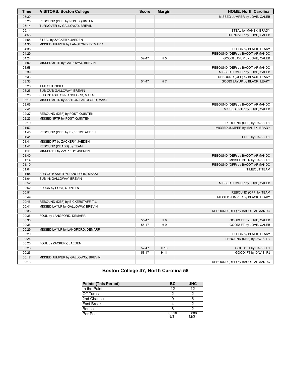| <b>Time</b> | <b>VISITORS: Boston College</b>       | <b>Score</b> | <b>Margin</b>  | <b>HOME: North Carolina</b>     |
|-------------|---------------------------------------|--------------|----------------|---------------------------------|
| 05:30       |                                       |              |                | MISSED JUMPER by LOVE, CALEB    |
| 05:26       | REBOUND (DEF) by POST, QUINTEN        |              |                |                                 |
| 05:14       | TURNOVER by GALLOWAY, BREVIN          |              |                |                                 |
| 05:14       |                                       |              |                | STEAL by MANEK, BRADY           |
| 04:58       |                                       |              |                | TURNOVER by LOVE, CALEB         |
| 04:58       | STEAL by ZACKERY, JAEDEN              |              |                |                                 |
| 04:35       | MISSED JUMPER by LANGFORD, DEMARR     |              |                |                                 |
| 04:35       |                                       |              |                | BLOCK by BLACK, LEAKY           |
| 04:29       |                                       |              |                | REBOUND (DEF) by BACOT, ARMANDO |
| 04:24       |                                       | 52-47        | H 5            | GOOD! LAYUP by LOVE, CALEB      |
| 04:02       | MISSED 3PTR by GALLOWAY, BREVIN       |              |                |                                 |
| 03:58       |                                       |              |                | REBOUND (DEF) by BACOT, ARMANDO |
| 03:39       |                                       |              |                | MISSED JUMPER by LOVE, CALEB    |
| 03:33       |                                       |              |                | REBOUND (OFF) by BLACK, LEAKY   |
| 03:33       |                                       | 54-47        | H 7            | GOOD! LAYUP by BLACK, LEAKY     |
| 03:26       | TIMEOUT 30SEC                         |              |                |                                 |
| 03:26       | SUB OUT: GALLOWAY, BREVIN             |              |                |                                 |
| 03:26       | SUB IN: ASHTON-LANGFORD, MAKAI        |              |                |                                 |
| 03:10       | MISSED 3PTR by ASHTON-LANGFORD, MAKAI |              |                |                                 |
| 03:06       |                                       |              |                | REBOUND (DEF) by BACOT, ARMANDO |
| 02:41       |                                       |              |                | MISSED 3PTR by LOVE, CALEB      |
| 02:37       | REBOUND (DEF) by POST, QUINTEN        |              |                |                                 |
| 02:23       | MISSED 3PTR by POST, QUINTEN          |              |                |                                 |
| 02:19       |                                       |              |                | REBOUND (DEF) by DAVIS, RJ      |
| 01:52       |                                       |              |                | MISSED JUMPER by MANEK, BRADY   |
| 01:46       | REBOUND (DEF) by BICKERSTAFF, T.J.    |              |                |                                 |
| 01:41       |                                       |              |                | FOUL by DAVIS, RJ               |
| 01:41       | MISSED FT by ZACKERY, JAEDEN          |              |                |                                 |
| 01:41       | REBOUND (DEADB) by TEAM               |              |                |                                 |
| 01:41       | MISSED FT by ZACKERY, JAEDEN          |              |                |                                 |
| 01:40       |                                       |              |                | REBOUND (DEF) by BACOT, ARMANDO |
| 01:14       |                                       |              |                | MISSED 3PTR by DAVIS, RJ        |
| 01:10       |                                       |              |                | REBOUND (OFF) by BACOT, ARMANDO |
| 01:04       |                                       |              |                | <b>TIMEOUT TEAM</b>             |
| 01:04       | SUB OUT: ASHTON-LANGFORD, MAKAI       |              |                |                                 |
| 01:04       | SUB IN: GALLOWAY, BREVIN              |              |                |                                 |
| 00:52       |                                       |              |                | MISSED JUMPER by LOVE, CALEB    |
| 00:52       | BLOCK by POST, QUINTEN                |              |                |                                 |
| 00:51       |                                       |              |                | REBOUND (OFF) by TEAM           |
| 00:49       |                                       |              |                | MISSED JUMPER by BLACK, LEAKY   |
| 00:46       | REBOUND (DEF) by BICKERSTAFF, T.J.    |              |                |                                 |
| 00:41       | MISSED LAYUP by GALLOWAY, BREVIN      |              |                |                                 |
| 00:38       |                                       |              |                | REBOUND (DEF) by BACOT, ARMANDO |
| 00:36       | FOUL by LANGFORD, DEMARR              |              |                |                                 |
| 00:36       |                                       | 55-47        | H <sub>8</sub> | GOOD! FT by LOVE, CALEB         |
| 00:36       |                                       | 56-47        | H 9            | GOOD! FT by LOVE, CALEB         |
| 00:29       | MISSED LAYUP by LANGFORD, DEMARR      |              |                |                                 |
| 00:29       |                                       |              |                | BLOCK by BLACK, LEAKY           |
| 00:26       |                                       |              |                | REBOUND (DEF) by DAVIS, RJ      |
| 00:26       | FOUL by ZACKERY, JAEDEN               |              |                |                                 |
| 00:26       |                                       | 57-47        | H 10           | GOOD! FT by DAVIS, RJ           |
| 00:26       |                                       | 58-47        | H 11           | GOOD! FT by DAVIS, RJ           |
| 00:17       | MISSED JUMPER by GALLOWAY, BREVIN     |              |                |                                 |
| 00:13       |                                       |              |                | REBOUND (DEF) by BACOT, ARMANDO |

# **Boston College 47, North Carolina 58**

| <b>Points (This Period)</b> | ВC            | <b>UNC</b>     |
|-----------------------------|---------------|----------------|
| In the Paint                | 12            | 12             |
| Off Turns                   | 2             |                |
| 2nd Chance                  |               |                |
| <b>Fast Break</b>           |               |                |
| Bench                       |               |                |
| Per Poss                    | 0.516<br>8/31 | 0.806<br>12/31 |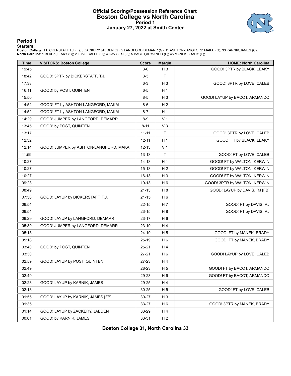#### **Official Scoring/Possession Reference Chart Boston College vs North Carolina Period 1 January 27, 2022 at Smith Center**



**Period 1**

#### **Starters:**

Boston College: 1 BICKERSTAFF,T.J. (F); 3 ZACKERY,JAEDEN (G); 5 LANGFORD,DEMARR (G); 11 ASHTON-LANGFORD,MAKAI (G); 33 KARNIK,JAMES (C);<br>North Carolina: 1 BLACK,LEAKY (G); 2 LOVE,CALEB (G); 4 DAVIS,RJ (G); 5 BACOT,ARMANDO (

| <b>Time</b> | <b>VISITORS: Boston College</b>        | <b>Score</b> | <b>Margin</b>  | <b>HOME: North Carolina</b>   |
|-------------|----------------------------------------|--------------|----------------|-------------------------------|
| 19:45       |                                        | $3-0$        | $H_3$          | GOOD! 3PTR by BLACK, LEAKY    |
| 18:42       | GOOD! 3PTR by BICKERSTAFF, T.J.        | $3-3$        | T              |                               |
| 17:38       |                                        | $6 - 3$      | $H_3$          | GOOD! 3PTR by LOVE, CALEB     |
| 16:11       | GOOD! by POST, QUINTEN                 | $6-5$        | H <sub>1</sub> |                               |
| 15:50       |                                        | $8 - 5$      | $H_3$          | GOOD! LAYUP by BACOT, ARMANDO |
| 14:52       | GOOD! FT by ASHTON-LANGFORD, MAKAI     | 8-6          | H <sub>2</sub> |                               |
| 14:52       | GOOD! FT by ASHTON-LANGFORD, MAKAI     | $8 - 7$      | H <sub>1</sub> |                               |
| 14:29       | GOOD! JUMPER by LANGFORD, DEMARR       | $8-9$        | V <sub>1</sub> |                               |
| 13:45       | GOOD! by POST, QUINTEN                 | $8 - 11$     | $V_3$          |                               |
| 13:17       |                                        | $11 - 11$    | T              | GOOD! 3PTR by LOVE, CALEB     |
| 12:32       |                                        | $12 - 11$    | H <sub>1</sub> | GOOD! FT by BLACK, LEAKY      |
| 12:14       | GOOD! JUMPER by ASHTON-LANGFORD, MAKAI | $12 - 13$    | V <sub>1</sub> |                               |
| 11:59       |                                        | $13 - 13$    | T              | GOOD! FT by LOVE, CALEB       |
| 10:27       |                                        | $14 - 13$    | H <sub>1</sub> | GOOD! FT by WALTON, KERWIN    |
| 10:27       |                                        | $15 - 13$    | H <sub>2</sub> | GOOD! FT by WALTON, KERWIN    |
| 10:27       |                                        | 16-13        | $H_3$          | GOOD! FT by WALTON, KERWIN    |
| 09:23       |                                        | 19-13        | H <sub>6</sub> | GOOD! 3PTR by WALTON, KERWIN  |
| 08:49       |                                        | $21 - 13$    | H <sub>8</sub> | GOOD! LAYUP by DAVIS, RJ [FB] |
| 07:30       | GOOD! LAYUP by BICKERSTAFF, T.J.       | $21 - 15$    | H <sub>6</sub> |                               |
| 06:54       |                                        | $22 - 15$    | H 7            | GOOD! FT by DAVIS, RJ         |
| 06:54       |                                        | $23 - 15$    | H <sub>8</sub> | GOOD! FT by DAVIS, RJ         |
| 06:29       | GOOD! LAYUP by LANGFORD, DEMARR        | 23-17        | H <sub>6</sub> |                               |
| 05:39       | GOOD! JUMPER by LANGFORD, DEMARR       | 23-19        | H4             |                               |
| 05:18       |                                        | 24-19        | H <sub>5</sub> | GOOD! FT by MANEK, BRADY      |
| 05:18       |                                        | 25-19        | H <sub>6</sub> | GOOD! FT by MANEK, BRADY      |
| 03:40       | GOOD! by POST, QUINTEN                 | $25 - 21$    | H4             |                               |
| 03:30       |                                        | $27 - 21$    | H <sub>6</sub> | GOOD! LAYUP by LOVE, CALEB    |
| 02:59       | GOOD! LAYUP by POST, QUINTEN           | 27-23        | H 4            |                               |
| 02:49       |                                        | 28-23        | H <sub>5</sub> | GOOD! FT by BACOT, ARMANDO    |
| 02:49       |                                        | 29-23        | H <sub>6</sub> | GOOD! FT by BACOT, ARMANDO    |
| 02:28       | GOOD! LAYUP by KARNIK, JAMES           | 29-25        | H 4            |                               |
| 02:18       |                                        | $30 - 25$    | H 5            | GOOD! FT by LOVE, CALEB       |
| 01:55       | GOOD! LAYUP by KARNIK, JAMES [FB]      | 30-27        | $H_3$          |                               |
| 01:35       |                                        | 33-27        | H <sub>6</sub> | GOOD! 3PTR by MANEK, BRADY    |
| 01:14       | GOOD! LAYUP by ZACKERY, JAEDEN         | 33-29        | H 4            |                               |
| 00:01       | GOOD! by KARNIK, JAMES                 | 33-31        | H <sub>2</sub> |                               |

**Boston College 31, North Carolina 33**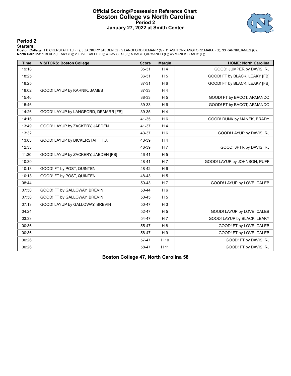#### **Official Scoring/Possession Reference Chart Boston College vs North Carolina Period 2 January 27, 2022 at Smith Center**



**Period 2**

#### **Starters:**

Boston College: 1 BICKERSTAFF,T.J. (F); 3 ZACKERY,JAEDEN (G); 5 LANGFORD,DEMARR (G); 11 ASHTON-LANGFORD,MAKAI (G); 33 KARNIK,JAMES (C);<br>North Carolina: 1 BLACK,LEAKY (G); 2 LOVE,CALEB (G); 4 DAVIS,RJ (G); 5 BACOT,ARMANDO (

| <b>Time</b> | <b>VISITORS: Boston College</b>      | <b>Score</b> | <b>Margin</b>  | <b>HOME: North Carolina</b>   |
|-------------|--------------------------------------|--------------|----------------|-------------------------------|
| 19:18       |                                      | $35 - 31$    | H <sub>4</sub> | GOOD! JUMPER by DAVIS, RJ     |
| 18:25       |                                      | 36-31        | H <sub>5</sub> | GOOD! FT by BLACK, LEAKY [FB] |
| 18:25       |                                      | $37 - 31$    | H <sub>6</sub> | GOOD! FT by BLACK, LEAKY [FB] |
| 18:02       | GOOD! LAYUP by KARNIK, JAMES         | $37 - 33$    | H <sub>4</sub> |                               |
| 15:46       |                                      | 38-33        | H <sub>5</sub> | GOOD! FT by BACOT, ARMANDO    |
| 15:46       |                                      | 39-33        | H <sub>6</sub> | GOOD! FT by BACOT, ARMANDO    |
| 14:26       | GOOD! LAYUP by LANGFORD, DEMARR [FB] | 39-35        | H4             |                               |
| 14:16       |                                      | 41-35        | H <sub>6</sub> | GOOD! DUNK by MANEK, BRADY    |
| 13:49       | GOOD! LAYUP by ZACKERY, JAEDEN       | 41-37        | H <sub>4</sub> |                               |
| 13:32       |                                      | 43-37        | H <sub>6</sub> | GOOD! LAYUP by DAVIS, RJ      |
| 13:03       | GOOD! LAYUP by BICKERSTAFF, T.J.     | 43-39        | H <sub>4</sub> |                               |
| 12:33       |                                      | 46-39        | H <sub>7</sub> | GOOD! 3PTR by DAVIS, RJ       |
| 11:30       | GOOD! LAYUP by ZACKERY, JAEDEN [FB]  | 46-41        | H <sub>5</sub> |                               |
| 10:30       |                                      | 48-41        | H <sub>7</sub> | GOOD! LAYUP by JOHNSON, PUFF  |
| 10:13       | GOOD! FT by POST, QUINTEN            | 48-42        | H <sub>6</sub> |                               |
| 10:13       | GOOD! FT by POST, QUINTEN            | 48-43        | H <sub>5</sub> |                               |
| 08:44       |                                      | 50-43        | H <sub>7</sub> | GOOD! LAYUP by LOVE, CALEB    |
| 07:50       | GOOD! FT by GALLOWAY, BREVIN         | 50-44        | H <sub>6</sub> |                               |
| 07:50       | GOOD! FT by GALLOWAY, BREVIN         | 50-45        | H <sub>5</sub> |                               |
| 07:13       | GOOD! LAYUP by GALLOWAY, BREVIN      | 50-47        | $H_3$          |                               |
| 04:24       |                                      | 52-47        | H <sub>5</sub> | GOOD! LAYUP by LOVE, CALEB    |
| 03:33       |                                      | 54-47        | H 7            | GOOD! LAYUP by BLACK, LEAKY   |
| 00:36       |                                      | 55-47        | H <sub>8</sub> | GOOD! FT by LOVE, CALEB       |
| 00:36       |                                      | 56-47        | H9             | GOOD! FT by LOVE, CALEB       |
| 00:26       |                                      | 57-47        | H 10           | GOOD! FT by DAVIS, RJ         |
| 00:26       |                                      | 58-47        | H 11           | GOOD! FT by DAVIS, RJ         |

**Boston College 47, North Carolina 58**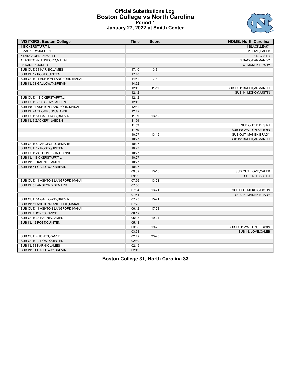## **Official Substitutions Log Boston College vs North Carolina Period 1 January 27, 2022 at Smith Center**



| <b>VISITORS: Boston College</b>    | <b>Time</b> | <b>Score</b> | <b>HOME: North Carolina</b> |
|------------------------------------|-------------|--------------|-----------------------------|
| 1 BICKERSTAFF, T.J.                |             |              | 1 BLACK, LEAKY              |
| 3 ZACKERY, JAEDEN                  |             |              | 2 LOVE, CALEB               |
| 5 LANGFORD, DEMARR                 |             |              | 4 DAVIS, RJ                 |
| 11 ASHTON-LANGFORD, MAKAI          |             |              | 5 BACOT, ARMANDO            |
| 33 KARNIK, JAMES                   |             |              | 45 MANEK, BRADY             |
| SUB OUT: 33 KARNIK, JAMES          | 17:40       | $3-3$        |                             |
| SUB IN: 12 POST, QUINTEN           | 17:40       |              |                             |
| SUB OUT: 11 ASHTON-LANGFORD, MAKAI | 14:52       | $7-8$        |                             |
| SUB IN: 51 GALLOWAY, BREVIN        | 14:52       |              |                             |
|                                    | 12:42       | $11 - 11$    | SUB OUT: BACOT, ARMANDO     |
|                                    | 12:42       |              | SUB IN: MCKOY, JUSTIN       |
| SUB OUT: 1 BICKERSTAFF, T.J.       | 12:42       |              |                             |
| SUB OUT: 3 ZACKERY, JAEDEN         | 12:42       |              |                             |
| SUB IN: 11 ASHTON-LANGFORD, MAKAI  | 12:42       |              |                             |
| SUB IN: 24 THOMPSON, GIANNI        | 12:42       |              |                             |
| SUB OUT: 51 GALLOWAY, BREVIN       | 11:59       | $13 - 12$    |                             |
| SUB IN: 3 ZACKERY, JAEDEN          | 11:59       |              |                             |
|                                    | 11:59       |              | SUB OUT: DAVIS, RJ          |
|                                    | 11:59       |              | SUB IN: WALTON, KERWIN      |
|                                    | 10:27       | $13 - 15$    | SUB OUT: MANEK, BRADY       |
|                                    | 10:27       |              | SUB IN: BACOT, ARMANDO      |
| SUB OUT: 5 LANGFORD, DEMARR        | 10:27       |              |                             |
| SUB OUT: 12 POST, QUINTEN          | 10:27       |              |                             |
| SUB OUT: 24 THOMPSON, GIANNI       | 10:27       |              |                             |
| SUB IN: 1 BICKERSTAFF, T.J.        | 10:27       |              |                             |
| SUB IN: 33 KARNIK, JAMES           | 10:27       |              |                             |
| SUB IN: 51 GALLOWAY, BREVIN        | 10:27       |              |                             |
|                                    | 09:39       | $13 - 16$    | SUB OUT: LOVE, CALEB        |
|                                    | 09:39       |              | SUB IN: DAVIS, RJ           |
| SUB OUT: 11 ASHTON-LANGFORD, MAKAI | 07:56       | $13 - 21$    |                             |
| SUB IN: 5 LANGFORD, DEMARR         | 07:56       |              |                             |
|                                    | 07:54       | $13 - 21$    | SUB OUT: MCKOY, JUSTIN      |
|                                    | 07:54       |              | SUB IN: MANEK, BRADY        |
| SUB OUT: 51 GALLOWAY, BREVIN       | 07:25       | $15 - 21$    |                             |
| SUB IN: 11 ASHTON-LANGFORD, MAKAI  | 07:25       |              |                             |
| SUB OUT: 11 ASHTON-LANGFORD, MAKAI | 06:12       | 17-23        |                             |
| SUB IN: 4 JONES, KANYE             | 06:12       |              |                             |
| SUB OUT: 33 KARNIK, JAMES          | 05:18       | 19-24        |                             |
| SUB IN: 12 POST, QUINTEN           | 05:18       |              |                             |
|                                    | 03:58       | 19-25        | SUB OUT: WALTON, KERWIN     |
|                                    | 03:58       |              | SUB IN: LOVE, CALEB         |
| SUB OUT: 4 JONES, KANYE            | 02:49       | 23-28        |                             |
| SUB OUT: 12 POST, QUINTEN          | 02:49       |              |                             |
| SUB IN: 33 KARNIK, JAMES           | 02:49       |              |                             |
| SUB IN: 51 GALLOWAY, BREVIN        | 02:49       |              |                             |

**Boston College 31, North Carolina 33**